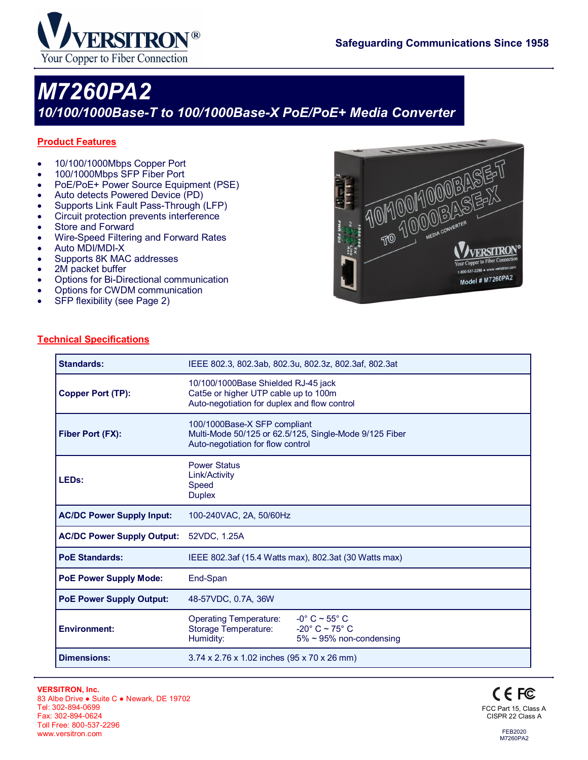

# *M7260PA2 10/100/1000Base-T to 100/1000Base-X PoE/PoE+ Media Converter*

### **Product Features**

- 10/100/1000Mbps Copper Port
- 100/1000Mbps SFP Fiber Port
- PoE/PoE+ Power Source Equipment (PSE)
- Auto detects Powered Device (PD)
- Supports Link Fault Pass-Through (LFP)
- Circuit protection prevents interference
- Store and Forward
- Wire-Speed Filtering and Forward Rates
- Auto MDI/MDI-X
- Supports 8K MAC addresses
- 2M packet buffer
- Options for Bi-Directional communication
- Options for CWDM communication
- SFP flexibility (see Page 2)



#### **Technical Specifications**

| Standards:                        | IEEE 802.3, 802.3ab, 802.3u, 802.3z, 802.3af, 802.3at                                                                       |                                                                                                      |  |  |  |  |
|-----------------------------------|-----------------------------------------------------------------------------------------------------------------------------|------------------------------------------------------------------------------------------------------|--|--|--|--|
| <b>Copper Port (TP):</b>          | 10/100/1000Base Shielded RJ-45 jack<br>Cat5e or higher UTP cable up to 100m<br>Auto-negotiation for duplex and flow control |                                                                                                      |  |  |  |  |
| Fiber Port (FX):                  | 100/1000Base-X SFP compliant<br>Multi-Mode 50/125 or 62.5/125, Single-Mode 9/125 Fiber<br>Auto-negotiation for flow control |                                                                                                      |  |  |  |  |
| LED <sub>s</sub> :                | <b>Power Status</b><br>Link/Activity<br>Speed<br><b>Duplex</b>                                                              |                                                                                                      |  |  |  |  |
| <b>AC/DC Power Supply Input:</b>  | 100-240VAC, 2A, 50/60Hz                                                                                                     |                                                                                                      |  |  |  |  |
| <b>AC/DC Power Supply Output:</b> | 52VDC, 1.25A                                                                                                                |                                                                                                      |  |  |  |  |
| <b>PoE Standards:</b>             | IEEE 802.3af (15.4 Watts max), 802.3at (30 Watts max)                                                                       |                                                                                                      |  |  |  |  |
| <b>PoE Power Supply Mode:</b>     | End-Span                                                                                                                    |                                                                                                      |  |  |  |  |
| <b>PoE Power Supply Output:</b>   | 48-57VDC, 0.7A, 36W                                                                                                         |                                                                                                      |  |  |  |  |
| <b>Environment:</b>               | <b>Operating Temperature:</b><br>Storage Temperature:<br>Humidity:                                                          | $-0^\circ$ C $\sim$ 55 $^\circ$ C<br>$-20^\circ$ C ~ 75 $^\circ$ C<br>$5\% \sim 95\%$ non-condensing |  |  |  |  |
| <b>Dimensions:</b>                | 3.74 x 2.76 x 1.02 inches (95 x 70 x 26 mm)                                                                                 |                                                                                                      |  |  |  |  |



FEB2020 M7260PA2